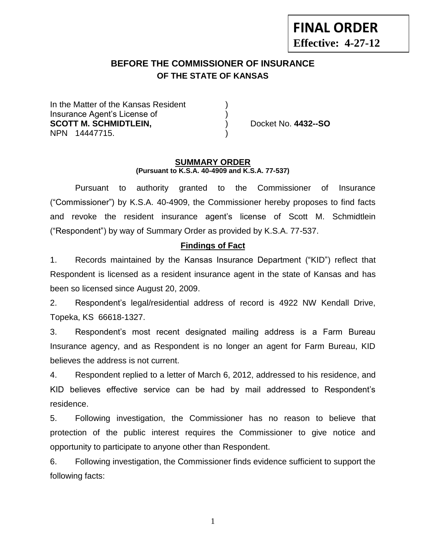**Effective: 4-27-12**

**FINAL ORDER**

## **BEFORE THE COMMISSIONER OF INSURANCE OF THE STATE OF KANSAS --12**

In the Matter of the Kansas Resident Insurance Agent's License of ) **SCOTT M. SCHMIDTLEIN,** and  $\left( \begin{array}{ccc} 0 & \text{ & \textcolor{red}{\text{p}} \\ \text{ & \textcolor{green}{\text{p}} \end{array} \right)$  Docket No. 4432--SO NPN 14447715. )

#### **SUMMARY ORDER (Pursuant to K.S.A. 40-4909 and K.S.A. 77-537)**

Pursuant to authority granted to the Commissioner of Insurance ("Commissioner") by K.S.A. 40-4909, the Commissioner hereby proposes to find facts and revoke the resident insurance agent's license of Scott M. Schmidtlein ("Respondent") by way of Summary Order as provided by K.S.A. 77-537.

### **Findings of Fact**

1. Records maintained by the Kansas Insurance Department ("KID") reflect that Respondent is licensed as a resident insurance agent in the state of Kansas and has been so licensed since August 20, 2009.

2. Respondent's legal/residential address of record is 4922 NW Kendall Drive, Topeka, KS 66618-1327.

3. Respondent's most recent designated mailing address is a Farm Bureau Insurance agency, and as Respondent is no longer an agent for Farm Bureau, KID believes the address is not current.

4. Respondent replied to a letter of March 6, 2012, addressed to his residence, and KID believes effective service can be had by mail addressed to Respondent's residence.

5. Following investigation, the Commissioner has no reason to believe that protection of the public interest requires the Commissioner to give notice and opportunity to participate to anyone other than Respondent.

6. Following investigation, the Commissioner finds evidence sufficient to support the following facts:

1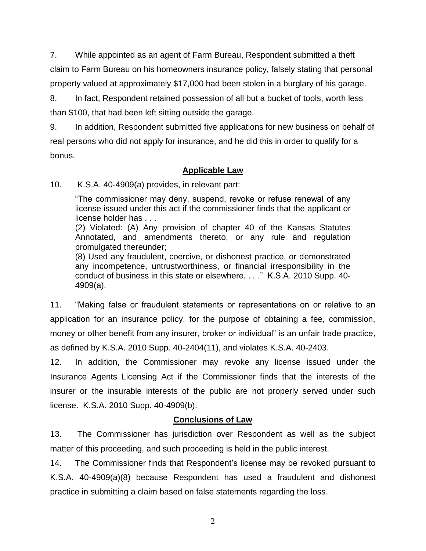7. While appointed as an agent of Farm Bureau, Respondent submitted a theft claim to Farm Bureau on his homeowners insurance policy, falsely stating that personal property valued at approximately \$17,000 had been stolen in a burglary of his garage.

8. In fact, Respondent retained possession of all but a bucket of tools, worth less than \$100, that had been left sitting outside the garage.

9. In addition, Respondent submitted five applications for new business on behalf of real persons who did not apply for insurance, and he did this in order to qualify for a bonus.

# **Applicable Law**

10. K.S.A. 40-4909(a) provides, in relevant part:

"The commissioner may deny, suspend, revoke or refuse renewal of any license issued under this act if the commissioner finds that the applicant or license holder has . . .

(2) Violated: (A) Any provision of chapter 40 of the Kansas Statutes Annotated, and amendments thereto, or any rule and regulation promulgated thereunder;

(8) Used any fraudulent, coercive, or dishonest practice, or demonstrated any incompetence, untrustworthiness, or financial irresponsibility in the conduct of business in this state or elsewhere. . . ." K.S.A. 2010 Supp. 40- 4909(a).

11. "Making false or fraudulent statements or representations on or relative to an application for an insurance policy, for the purpose of obtaining a fee, commission, money or other benefit from any insurer, broker or individual" is an unfair trade practice, as defined by K.S.A. 2010 Supp. 40-2404(11), and violates K.S.A. 40-2403.

12. In addition, the Commissioner may revoke any license issued under the Insurance Agents Licensing Act if the Commissioner finds that the interests of the insurer or the insurable interests of the public are not properly served under such license. K.S.A. 2010 Supp. 40-4909(b).

# **Conclusions of Law**

13. The Commissioner has jurisdiction over Respondent as well as the subject matter of this proceeding, and such proceeding is held in the public interest.

14. The Commissioner finds that Respondent's license may be revoked pursuant to K.S.A. 40-4909(a)(8) because Respondent has used a fraudulent and dishonest practice in submitting a claim based on false statements regarding the loss.

2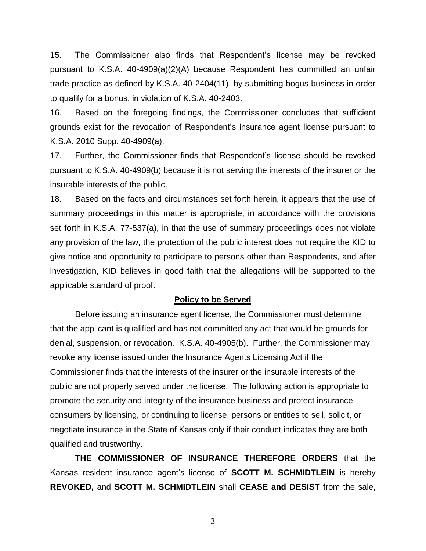15. The Commissioner also finds that Respondent's license may be revoked pursuant to K.S.A. 40-4909(a)(2)(A) because Respondent has committed an unfair trade practice as defined by K.S.A. 40-2404(11), by submitting bogus business in order to qualify for a bonus, in violation of K.S.A. 40-2403.

16. Based on the foregoing findings, the Commissioner concludes that sufficient grounds exist for the revocation of Respondent's insurance agent license pursuant to K.S.A. 2010 Supp. 40-4909(a).

17. Further, the Commissioner finds that Respondent's license should be revoked pursuant to K.S.A. 40-4909(b) because it is not serving the interests of the insurer or the insurable interests of the public.

18. Based on the facts and circumstances set forth herein, it appears that the use of summary proceedings in this matter is appropriate, in accordance with the provisions set forth in K.S.A. 77-537(a), in that the use of summary proceedings does not violate any provision of the law, the protection of the public interest does not require the KID to give notice and opportunity to participate to persons other than Respondents, and after investigation, KID believes in good faith that the allegations will be supported to the applicable standard of proof.

#### **Policy to be Served**

Before issuing an insurance agent license, the Commissioner must determine that the applicant is qualified and has not committed any act that would be grounds for denial, suspension, or revocation. K.S.A. 40-4905(b). Further, the Commissioner may revoke any license issued under the Insurance Agents Licensing Act if the Commissioner finds that the interests of the insurer or the insurable interests of the public are not properly served under the license. The following action is appropriate to promote the security and integrity of the insurance business and protect insurance consumers by licensing, or continuing to license, persons or entities to sell, solicit, or negotiate insurance in the State of Kansas only if their conduct indicates they are both qualified and trustworthy.

**THE COMMISSIONER OF INSURANCE THEREFORE ORDERS** that the Kansas resident insurance agent's license of **SCOTT M. SCHMIDTLEIN** is hereby **REVOKED,** and **SCOTT M. SCHMIDTLEIN** shall **CEASE and DESIST** from the sale,

3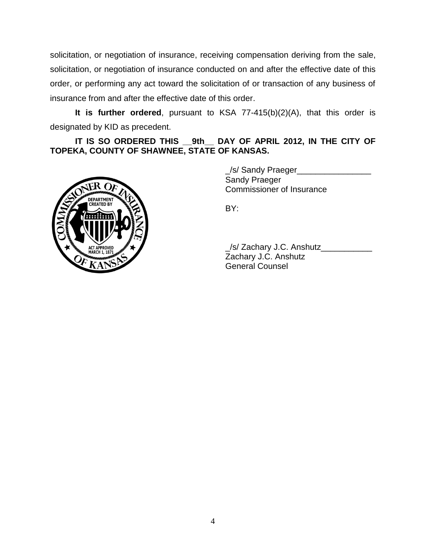solicitation, or negotiation of insurance, receiving compensation deriving from the sale, solicitation, or negotiation of insurance conducted on and after the effective date of this order, or performing any act toward the solicitation of or transaction of any business of insurance from and after the effective date of this order.

**It is further ordered**, pursuant to KSA 77-415(b)(2)(A), that this order is designated by KID as precedent.

**IT IS SO ORDERED THIS \_\_9th\_\_ DAY OF APRIL 2012, IN THE CITY OF TOPEKA, COUNTY OF SHAWNEE, STATE OF KANSAS.**



\_/s/ Sandy Praeger\_\_\_\_\_\_\_\_\_\_\_\_\_\_\_\_ Sandy Praeger Commissioner of Insurance

BY:

\_/s/ Zachary J.C. Anshutz\_\_\_\_\_\_\_\_\_\_\_ Zachary J.C. Anshutz General Counsel